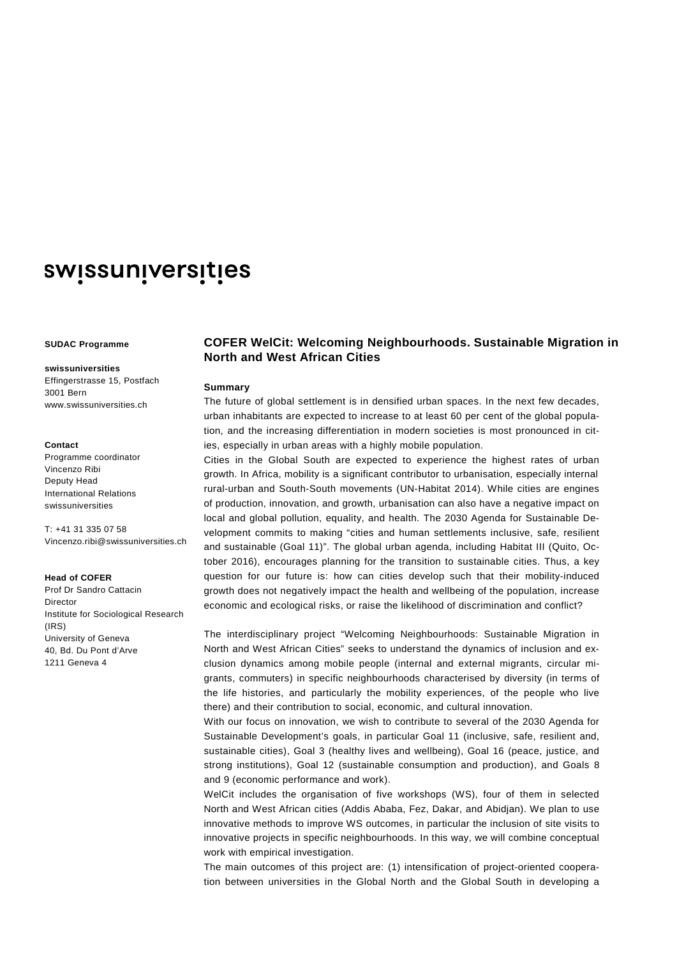# swissuniversities

## **SUDAC Programme**

### **swissuniversities**

Effingerstrasse 15, Postfach 3001 Bern www.swissuniversities.ch

### **Contact**

Programme coordinator Vincenzo Ribi Deputy Head International Relations swissuniversities

T: +41 31 335 07 58 Vincenzo.ribi@swissuniversities.ch

## **Head of COFER**

Prof Dr Sandro Cattacin Director Institute for Sociological Research (IRS) University of Geneva 40, Bd. Du Pont d'Arve 1211 Geneva 4

## **COFER WelCit: Welcoming Neighbourhoods. Sustainable Migration in North and West African Cities**

## **Summary**

The future of global settlement is in densified urban spaces. In the next few decades, urban inhabitants are expected to increase to at least 60 per cent of the global population, and the increasing differentiation in modern societies is most pronounced in cities, especially in urban areas with a highly mobile population.

Cities in the Global South are expected to experience the highest rates of urban growth. In Africa, mobility is a significant contributor to urbanisation, especially internal rural-urban and South-South movements (UN-Habitat 2014). While cities are engines of production, innovation, and growth, urbanisation can also have a negative impact on local and global pollution, equality, and health. The 2030 Agenda for Sustainable Development commits to making "cities and human settlements inclusive, safe, resilient and sustainable (Goal 11)". The global urban agenda, including Habitat III (Quito, October 2016), encourages planning for the transition to sustainable cities. Thus, a key question for our future is: how can cities develop such that their mobility-induced growth does not negatively impact the health and wellbeing of the population, increase economic and ecological risks, or raise the likelihood of discrimination and conflict?

The interdisciplinary project "Welcoming Neighbourhoods: Sustainable Migration in North and West African Cities" seeks to understand the dynamics of inclusion and exclusion dynamics among mobile people (internal and external migrants, circular migrants, commuters) in specific neighbourhoods characterised by diversity (in terms of the life histories, and particularly the mobility experiences, of the people who live there) and their contribution to social, economic, and cultural innovation.

With our focus on innovation, we wish to contribute to several of the 2030 Agenda for Sustainable Development's goals, in particular Goal 11 (inclusive, safe, resilient and, sustainable cities), Goal 3 (healthy lives and wellbeing), Goal 16 (peace, justice, and strong institutions), Goal 12 (sustainable consumption and production), and Goals 8 and 9 (economic performance and work).

WelCit includes the organisation of five workshops (WS), four of them in selected North and West African cities (Addis Ababa, Fez, Dakar, and Abidjan). We plan to use innovative methods to improve WS outcomes, in particular the inclusion of site visits to innovative projects in specific neighbourhoods. In this way, we will combine conceptual work with empirical investigation.

The main outcomes of this project are: (1) intensification of project-oriented cooperation between universities in the Global North and the Global South in developing a